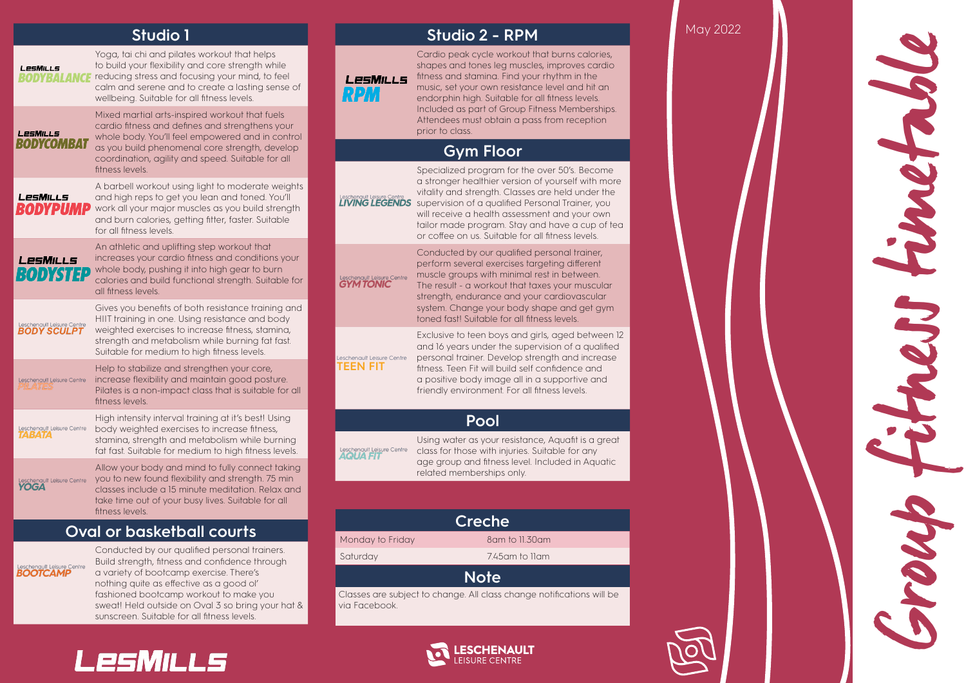## **Studio 1**

fashioned bootcamp workout to make you sweat! Held outside on Oval 3 so bring your hat &

sunscreen. Suitable for all fitness levels.

LesMILLs

|                                                   | <b>Studio 1</b>                                                                                                                                                                                                                                                | <b>Studio 2 - RPM</b> |                                              |                                                                                                                                                                                                                                                                                                                                                                       |  |  |  |
|---------------------------------------------------|----------------------------------------------------------------------------------------------------------------------------------------------------------------------------------------------------------------------------------------------------------------|-----------------------|----------------------------------------------|-----------------------------------------------------------------------------------------------------------------------------------------------------------------------------------------------------------------------------------------------------------------------------------------------------------------------------------------------------------------------|--|--|--|
| <b>LESMILLS</b><br>RODYBALANGE                    | Yoga, tai chi and pilates workout that helps<br>to build your flexibility and core strength while<br>reducing stress and focusing your mind, to feel<br>calm and serene and to create a lasting sense of<br>wellbeing. Suitable for all fitness levels.        |                       | LesMills<br>RPM                              | Cardio peak cycle workout that burns calories,<br>shapes and tones leg muscles, improves cardio<br>fitness and stamina. Find your rhythm in the<br>music, set your own resistance level and hit an<br>endorphin high. Suitable for all fitness levels.                                                                                                                |  |  |  |
| <b>LESMILLS</b><br><b>BODYCOMBAT</b>              | Mixed martial arts-inspired workout that fuels<br>cardio fitness and defines and strengthens your<br>whole body. You'll feel empowered and in control                                                                                                          |                       |                                              | Included as part of Group Fitness Memberships.<br>Attendees must obtain a pass from reception<br>prior to class.                                                                                                                                                                                                                                                      |  |  |  |
|                                                   | as you build phenomenal core strength, develop<br>coordination, agility and speed. Suitable for all                                                                                                                                                            |                       |                                              | <b>Gym Floor</b>                                                                                                                                                                                                                                                                                                                                                      |  |  |  |
| LesMills<br>RODYPUMP                              | fitness levels.<br>A barbell workout using light to moderate weights<br>and high reps to get you lean and toned. You'll<br>work all your major muscles as you build strength<br>and burn calories, getting fitter, faster. Suitable<br>for all fitness levels. |                       | Leschengult Leisure Centre<br>LIVING LEGENDS | Specialized program for the over 50's. Become<br>a stronger healthier version of yourself with more<br>vitality and strength. Classes are held under the<br>supervision of a qualified Personal Trainer, you<br>will receive a health assessment and your own<br>tailor made program. Stay and have a cup of tea<br>or coffee on us. Suitable for all fitness levels. |  |  |  |
| LesMills<br>RODYSTEP                              | An athletic and uplifting step workout that<br>increases your cardio fitness and conditions your<br>whole body, pushing it into high gear to burn<br>calories and build functional strength. Suitable for<br>all fitness levels.                               |                       | Leschenault Leisure Centre                   | Conducted by our qualified personal trainer,<br>perform several exercises targeting different<br>muscle groups with minimal rest in between.<br>The result - a workout that taxes your muscular<br>strength, endurance and your cardiovascular                                                                                                                        |  |  |  |
| Leschenault Leisure Centre<br><b>BODY SCULPT</b>  | Gives you benefits of both resistance training and<br>HIIT training in one. Using resistance and body                                                                                                                                                          |                       |                                              | system. Change your body shape and get gym<br>toned fast! Suitable for all fitness levels.                                                                                                                                                                                                                                                                            |  |  |  |
|                                                   | weighted exercises to increase fitness, stamina,<br>strength and metabolism while burning fat fast.<br>Suitable for medium to high fitness levels.                                                                                                             |                       | Leschenault Leisure Centre                   | Exclusive to teen boys and girls, aged between 12<br>and 16 years under the supervision of a qualified<br>personal trainer. Develop strength and increase                                                                                                                                                                                                             |  |  |  |
| Leschenault Leisure Centre<br><i><b>ILAIE</b></i> | Help to stabilize and strengthen your core,<br>increase flexibility and maintain good posture.<br>Pilates is a non-impact class that is suitable for all<br>fitness levels.                                                                                    |                       | TEEN FIT                                     | fitness. Teen Fit will build self confidence and<br>a positive body image all in a supportive and<br>friendly environment. For all fitness levels.                                                                                                                                                                                                                    |  |  |  |
| Leschenault Leisure Centre                        | High intensity interval training at it's best! Using<br>body weighted exercises to increase fitness,                                                                                                                                                           |                       |                                              | Pool                                                                                                                                                                                                                                                                                                                                                                  |  |  |  |
| TABATA                                            | stamina, strength and metabolism while burning<br>fat fast. Suitable for medium to high fitness levels.                                                                                                                                                        |                       | Leschenault Leisure Centre<br>AQUA FIT       | Using water as your resistance, Aquafit is a great<br>class for those with injuries. Suitable for any                                                                                                                                                                                                                                                                 |  |  |  |
| Leschenault Leisure Centre<br><b>YOGA</b>         | Allow your body and mind to fully connect taking<br>you to new found flexibility and strength. 75 min<br>classes include a 15 minute meditation. Relax and<br>take time out of your busy lives. Suitable for all<br>fitness levels.                            |                       |                                              | age group and fitness level. Included in Aquatic<br>related memberships only.                                                                                                                                                                                                                                                                                         |  |  |  |
|                                                   |                                                                                                                                                                                                                                                                |                       |                                              | <b>Creche</b>                                                                                                                                                                                                                                                                                                                                                         |  |  |  |
|                                                   | <b>Oval or basketball courts</b>                                                                                                                                                                                                                               |                       | Monday to Friday                             | 8am to 11.30am                                                                                                                                                                                                                                                                                                                                                        |  |  |  |
| Leschenault Leisure Centre<br>BOOTCAMP            | Conducted by our qualified personal trainers.<br>Build strength, fitness and confidence through                                                                                                                                                                |                       | Saturday                                     | 7.45 am to Ilam                                                                                                                                                                                                                                                                                                                                                       |  |  |  |
|                                                   | a variety of bootcamp exercise. There's<br>nothing quite as effective as a good ol'                                                                                                                                                                            |                       | <b>Note</b>                                  |                                                                                                                                                                                                                                                                                                                                                                       |  |  |  |

Classes are subject to change. All class change notifications will be via Facebook.



May 2022

Group fitness timetable 1 222 Joseph